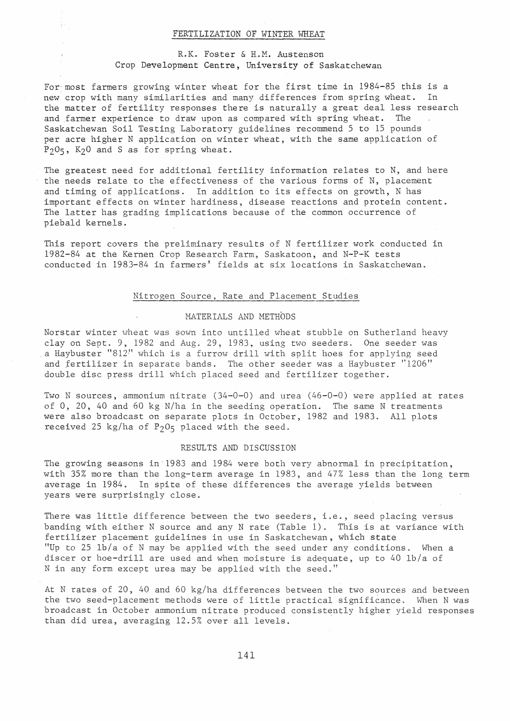### FERTILIZATION OF WINTER WHEAT

# R.K. Fos.ter & H.M. Austenson Crop Development Centre, University of Saskatchewan

For·most farmers growing winter wheat for the first time in 1984-85 this is a new crop with many similarities and many differences from spring wheat. In the matter of fertility responses there is naturally a great deal less research<br>and farmer experience to draw upon as compared with spring wheat. The and farmer experience to draw upon as compared with spring wheat. Saskatchewan Soil Testing Laboratory guidelines recommend 5 to 15 pounds per acre higher N application on winter wheat, with the same application of  $P_2O_5$ ,  $K_2O$  and S as for spring wheat.

The greatest need for additional fertility information relates to N, and here the needs relate to the effectiveness of the various forms of N, placement and timing of applications. In addition to its effects on growth, N has important effects on winter hardiness, disease reactions and protein content. The latter has grading implications because of the common occurrence of piebald kernels.

This report covers the preliminary results of N fertilizer work conducted in 1982-84 at the Kernen Crop Research Farm, Saskatoon, and N-P-K tests conducted in 1983-84 in farmers' fields at six locations in Saskatchewan.

#### Nitrogen Source, Rate and Placement Studies

#### MATERIALS AND METHODS

Norstar winter wheat was sown into untilled wheat stubble on Sutherland heavy clay on Sept. 9, 1982 and Aug. 29, 1983, using two seeders. One seeder was . a Haybuster "812·" which is a furrow drill with split hoes for applying seed and fertilizer in separate bands. The other seeder was a Haybuster "1206" double disc press drill which placed seed and fertilizer together.

Two N sources, ammonium nitrate (34-0-0) and urea (46-0-0) were applied at rates of 0, 20, 40 and 60 kg N/ha in the seeding operation. The same N treatments were also broadcast on separate plots in October, 1982 and 1983. All plots received 25 kg/ha of  $P_2O_5$  placed with the seed.

#### RESULTS AND DISCUSSION

The growing seasons in  $1983$  and  $1984$  were both very abnormal in precipitation, with 35% more than the long-term average in 1983, and 47% less than the long term average in 1984. In spite of these differences the average yields between years were surprisingly close.

There was little difference between the two seeders, i.e., seed placing versus banding with either N source and any N rate (Table 1). This is at variance with fertilizer placement guidelines in use in Saskatchewan, which state "Up to 25 lb/a of N may be applied with the seed under any conditions. When a discer or hoe-drill are used and when moisture is adequate, up to 40 lb/a of N in any form except urea may be applied with the seed."

At N rates of 20, 40 and 60 kg/ha differences between the two sources and between the two seed-placement methods were of little practical significance. When N was broadcast in October ammonium nitrate produced consistently higher yield responses than did urea, averaging 12.5% over all levels.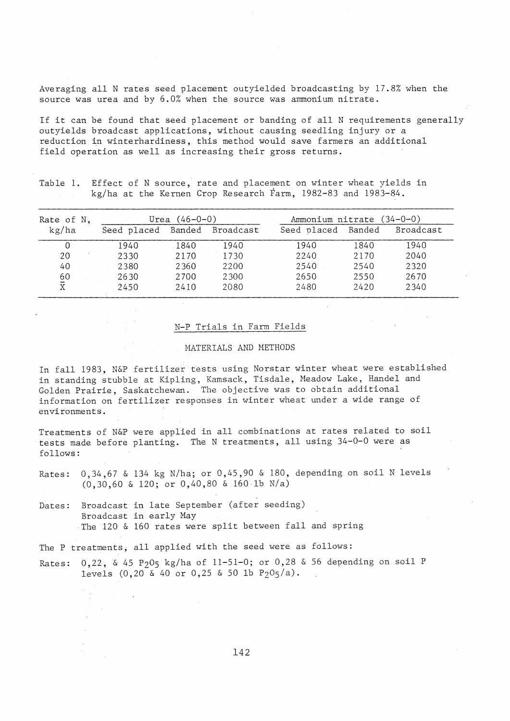Averaging all N rates seed placement outyielded broadcasting by 17.8% when the source was urea and by 6.0% when the source was ammonium nitrate.

If it can be found that seed placement or banding of all N requirements generally outyields broadcast applications, without causing seedling injury or a reduction in winterhardiness, this method would save farmers an additional field operation as well as increasing their gross returns.

Table 1. Effect of N source, rate and placement on winter wheat yields in kg/ha at the Kernen Crop Research Farm, 1982-83 and 1983-84.

| Rate of $N$ ,        | Urea $(46 - 0 - 0)$          |      |      | Ammonium nitrate (34-0-0)    |      |      |
|----------------------|------------------------------|------|------|------------------------------|------|------|
| kg/ha                | Seed placed Banded Broadcast |      |      | Seed placed Banded Broadcast |      |      |
|                      | 1940                         | 1840 | 1940 | 1940                         | 1840 | 1940 |
| 20                   | 2330                         | 2170 | 1730 | 2240                         | 2170 | 2040 |
| 40                   | 2380                         | 2360 | 2200 | 2540                         | 2540 | 2320 |
| $\frac{60}{\bar{X}}$ | 2630                         | 2700 | 2300 | 2650                         | 2550 | 2670 |
|                      | 2450                         | 2410 | 2080 | 2480                         | 2420 | 2340 |

# N-P Trials in Farm Fields

### MATERIALS AND METHODS

In fall 1983, N&P fertilizer tests using Norstar winter wheat were established in standing stubble at Kipling, Kamsack, Tisdale, Headow Lake, Handel and Golden Prairie, Saskatchewan. The objective was to obtain additional information on fertilizer responses in winter wheat under a wide range of environments.

Treatments of N&P were applied in all combinations at rates related to soil tests made before planting. The N treatments, all using 34-0-0 were as follows:

Rates: 0,34,67 & 134 kg N/ha; or 0,45,90 & 180, depending on soil N levels (0,30,60 & 120; or 0,40,80 & 160-lb N/a)

Dates: Broadcast in late September (after seeding) Broadcast in early May The 120 & 160 rates were split between fall and spring

The P treatments, all applied with the seed were as follows:

Rates: 0,22, & 45 P205 kg/ha of 11-51-0; or *0,28* & 56 depending on soil P levels  $(0,20 \& 40 \text{ or } 0,25 \& 50 \text{ lb } P_2O_5/a)$ .